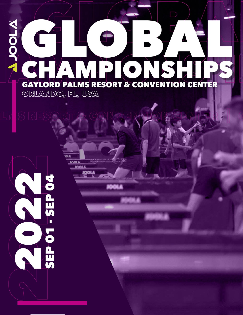# WIOOLA T TPION **GAYLORD PALMS RESORT & CONVENTION CENTER**  $ORLANDO<sub>a</sub> FL<sub>a</sub> USA$

**IOOLA** 

**IOOLA** 

**NOTESER** 

G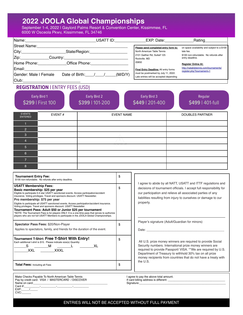### **2022 JOOLA Global Championships**

September 1-4, 2022 | Gaylord Palms Resort & Convention Center, Kissimmee, FL 6000 W Osceola Pkwy, Kissimmee, FL 34746

|                                               | USATT ID: | $EXP.$ Date:                                                                    | Rating                                                             |
|-----------------------------------------------|-----------|---------------------------------------------------------------------------------|--------------------------------------------------------------------|
| Street Name:                                  |           | Please send completed entry form to:                                            | on space availability and subject to a \$100                       |
| State/Region: ________________                |           | North American Table Tennis                                                     | late fee.                                                          |
| Zip:_________<br>Country:____________________ |           | 2101 Gaither Rd, Suite# 125<br>Rockville, MD                                    | \$100 non-refundable. No refunds after<br>entry deadline.          |
| Home Phone: Chice Phone:                      |           | 20850                                                                           | <b>Register Online At:</b>                                         |
| Email:                                        |           | Final Entry Deadline: All entry forms                                           | http://natabletennis.com/tournaments/<br>register.php?tournament=1 |
| Gender: Male I Female<br>Date of Birth: / /   | (M/D/Y)   | must be postmarked by July 11, 2022.<br>Late entries will be accepted depending |                                                                    |
| Club:                                         |           |                                                                                 |                                                                    |

#### **REGISTRATION | ENTRY FEES (USD)**

|                                 | <b>Early Bird 1</b><br>\$299   First 100 | Early Bird 2<br>\$399   101-200 | Early Bird 3<br>\$449   201-400 | Regular<br>\$499   401-full |
|---------------------------------|------------------------------------------|---------------------------------|---------------------------------|-----------------------------|
| <b>EVENTS</b><br><b>ENTERED</b> | EVENT#                                   | <b>EVENT NAME</b>               |                                 | <b>DOUBLES PARTNER</b>      |
|                                 |                                          |                                 |                                 |                             |
| $\overline{2}$                  |                                          |                                 |                                 |                             |
| 3                               |                                          |                                 |                                 |                             |
| $\overline{4}$                  |                                          |                                 |                                 |                             |
| $5\phantom{1}$                  |                                          | 5000000                         |                                 |                             |
| $6\phantom{1}$                  |                                          |                                 |                                 |                             |
| $\overline{7}$                  |                                          |                                 |                                 |                             |
| 8                               |                                          |                                 |                                 |                             |

| Tournament Entry Fee:<br>\$100 non-refundable. No refunds after entry deadline.                                                                                                                                                                                                                                                                                                                                                                                                                                                                                                                                                                                                                                 | \$ |
|-----------------------------------------------------------------------------------------------------------------------------------------------------------------------------------------------------------------------------------------------------------------------------------------------------------------------------------------------------------------------------------------------------------------------------------------------------------------------------------------------------------------------------------------------------------------------------------------------------------------------------------------------------------------------------------------------------------------|----|
| <b>USATT Membership Fees:</b><br>Basic membership: \$25 per vear<br>Eligible to participate 0-4 star USATT sanctioned events. Access participation/accident<br>insurance. Voting privileges. Travel and sponsors discount. USATT Newsletter.<br>Pro membership: \$75 per year<br>Eligible to participate all USATT sanctioned events. Access participation/accident insurance.<br>Voting privileges. Travel and sponsors discount. USATT Newsletter.<br>Tournament Pass: Adult \$50 or Junior \$25 per tournament<br>*NOTE: The Tournament Pass is for players ONLY. It is a one-time pass that serves to authorize<br>players who are not full USATT Members to participate in the JOOLA Global Championships. | \$ |
| <b>Spectator Pass Fees: \$20/Non-Player</b><br>Applies to spectators, family, and friends for the duration of the event.                                                                                                                                                                                                                                                                                                                                                                                                                                                                                                                                                                                        | \$ |
| Tournament T-Shirt: Free T-Shirt With Entry!<br>Each additional t-shirt is \$15. Please indicate size(s) Quantity:<br>S<br>XL<br>м<br>XXL<br>XXXI                                                                                                                                                                                                                                                                                                                                                                                                                                                                                                                                                               | \$ |
| Total Fees: Including all Fees                                                                                                                                                                                                                                                                                                                                                                                                                                                                                                                                                                                                                                                                                  | \$ |

Make Checks Payable To North American Table Tennis Pay by credit card: VISA / MASTERCARD / DISCOVER Name on card:<br>Card #: Card #:\_\_\_\_\_\_\_\_\_\_-\_\_\_\_\_\_\_\_\_\_-\_\_\_\_\_\_\_\_\_\_-\_\_\_\_\_\_\_\_\_\_  $EXP$ : CV<sub>C</sub>

I agree to abide by all NATT, USATT and ITTF regulations and decisions of tournament officials. I accept full responsibility for our participation and relieve all associated parties of any liabilities resulting from injury to ourselves or damage to our property.

Player's signature (Adult/Guardian for minors)

 $Date:$ 

All U.S. prize money winners are required to provide Social Security numbers. International prize money winners are required to provide Passport/ VISA. \*\*We are required by U.S. Department of Treasury to withhold 30% tax on all prize money recipients from countries that do not have a treaty with the U.S.

I agree to pay the above total amount. If card billing address is different:

Signature:

#### ENTRIES WILL NOT BE ACCEPTED WITHOUT FULL PAYMENT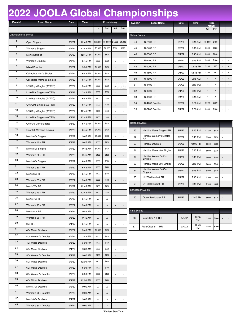## **2022 JOOLA Global Championships**

| Event#                     | <b>Event Name</b>                 | Date   | Time*    | <b>Prize Money</b> |          |                              |         |  |
|----------------------------|-----------------------------------|--------|----------|--------------------|----------|------------------------------|---------|--|
|                            |                                   |        |          | 1st                | 2nd      | $3 - 4$                      | $5 - 8$ |  |
| <b>Championship Events</b> |                                   |        |          |                    |          |                              |         |  |
| 1                          | Open Singles                      | 9/1/22 | 12:45 PM | \$25,000           | \$10,000 | \$4,000                      | \$1,600 |  |
| 2                          | Women's Singles                   | 9/2/22 | 12:45 PM | \$5,000            | \$2,000  | \$800                        | \$320   |  |
| 3                          | Men's Doubles                     | 9/2/22 | 12:45 PM | \$2,000            | \$800    |                              |         |  |
| 4                          | Women's Doubles                   | 9/3/22 | 3:45 PM  | \$800              | \$320    | L,                           |         |  |
| 5                          | <b>Mixed Doubles</b>              | 9/1/22 | 3:00 PM  | \$1,000            | \$400    | $\overline{a}$               |         |  |
| 6                          | Collegiate Men's Singles          | 9/1/22 | 6:45 PM  | \$1,000            | \$400    | $\overline{a}$               |         |  |
| $\overline{7}$             | <b>Collegiate Women's Singles</b> | 9/1/22 | 6:45 PM  | \$1,000            | \$400    | $\overline{a}$               |         |  |
| 8                          | U19 Boys Singles (AYTTO)          | 9/2/22 | 3:45 PM  | \$500              | \$200    | ā                            | ÷,      |  |
| 9                          | U19 Girls Singles (AYTTO)         | 9/2/22 | 3:45 PM  | \$500              | \$200    | ÷,                           |         |  |
| 10                         | U16 Boys Singles (AYTTO)          | 9/1/22 | 6:45 PM  | \$200              | \$80     | Ĭ.                           |         |  |
| 11                         | U16 Girls Singles (AYTTO)         | 9/1/22 | 6:45 PM  | \$200              | \$80     | $\overline{a}$               |         |  |
| 12                         | U13 Boys Singles (AYTTO)          | 9/2/22 | 12:45 PM | \$100              | \$40     | Ĭ.                           |         |  |
| 13                         | U13 Girls Singles (AYTTO)         | 9/2/22 | 12:45 PM | \$100              | \$40     | ÷,                           |         |  |
| 14                         | Over 30 Men's Singles             | 9/3/22 | 6:45 PM  | \$2,000            | \$800    | $\overline{a}$               |         |  |
| 15                         | Over 30 Women's Singles           | 9/3/22 | 6:45 PM  | \$1,000            | \$400    | $\overline{a}$               |         |  |
| 16                         | Men's 40+ Singles                 | 9/2/22 | 9:45 AM  | \$1,500            | \$600    |                              |         |  |
| 17                         | Women's 40+ RR                    | 9/2/22 | 9:45 AM  | \$500              | \$200    | ÷,                           |         |  |
| 18                         | Men's 50+ Singles                 | 9/1/22 | 9:45 AM  | \$1,000            | \$400    | Ĭ.                           |         |  |
| 19                         | Women's 50+ RR                    | 9/1/22 | 9:45 AM  | \$400              | \$160    | ÷,                           |         |  |
| 20                         | Men's 60+ Singles                 | 9/2/22 | 6:45 PM  | \$800              | \$320    | Ĭ.                           |         |  |
| 21                         | Women's 60+ RR                    | 9/2/22 | 6:45 PM  | \$300              | \$120    | ÷,                           |         |  |
| 22                         | Men's $65+RR$                     | 9/3/22 | 3:45 PM  | \$600              | \$240    | $\overline{a}$               |         |  |
| 23                         | Women's 65+ RR                    | 9/3/22 | 3:45 PM  | \$200              | \$80     | ÷,                           |         |  |
| 24                         | Men's 70+ RR                      | 9/1/22 | 12:45 PM | \$400              | \$160    | ä,                           |         |  |
| 25                         | Women's 70+ RR                    | 9/1/22 | 12:45 PM | \$100              | \$40     | $\overline{\phantom{a}}$     | l,      |  |
| 26                         | Men's 75+ RR                      | 9/2/22 | 3:45 PM  | А                  | Α        | $\overline{\phantom{a}}$     |         |  |
| 27                         | Women's 75+ RR                    | 9/2/22 | 3:45 PM  | Α                  | Α        |                              |         |  |
| 28                         | Men's 80+ RR                      | 9/3/22 | 9:45 AM  | А                  | А        | $\overline{\phantom{a}}$     |         |  |
| 29                         | Women's 80+ RR                    | 9/3/22 | 9:45 AM  | Α                  | Α        | $\overline{\phantom{a}}$     |         |  |
| 30                         | 85+ RR                            | 9/4/22 | 3:45 PM  | А                  | Α        |                              |         |  |
| 31                         | 40+ Men's Doubles                 | 9/1/22 | 3:45 PM  | \$1,000            | \$400    | $\overline{\phantom{a}}$     |         |  |
| 32                         | 40+ Women's Doubles               | 9/1/22 | 3:45 PM  | \$500              | \$200    | $\overline{\phantom{a}}$     |         |  |
| 33                         | 40+ Mixed Doubles                 | 9/3/22 | 3:00 PM  | \$500              | \$200    |                              |         |  |
| 34                         | 50+ Men's Doubles                 | 9/4/22 | 9:00 AM  | \$800              | \$320    |                              |         |  |
| 35                         | 50+ Women's Doubles               | 9/4/22 | 9:00 AM  | \$400              | \$160    |                              |         |  |
| 36                         | 50+ Mixed Doubles                 | 9/2/22 | 12:00 PM | \$400              | \$160    | $\overline{\phantom{a}}$     |         |  |
| 37                         | 60+ Men's Doubles                 | 9/1/22 | 6:00 PM  | \$600              | \$240    |                              |         |  |
| 38                         | 60+ Women's Doubles               | 9/1/22 | 6:00 PM  | \$300              | \$120    |                              |         |  |
| 39                         | 60+ Mixed Doubles                 | 9/4/22 | 12:00 PM | \$300              | \$120    | $\overline{\phantom{a}}$     |         |  |
| 40                         | Men's 70+ Doubles                 | 9/2/22 | 9:00 AM  | Α                  | Α        | ٠                            |         |  |
| 41                         | Women's 70+ Doubles               | 9/2/22 | 9:00 AM  | Α                  | Α        |                              |         |  |
| 42                         | Men's 80+ Doubles                 | 9/4/22 | 9:00 AM  | А                  | А        |                              |         |  |
| 43                         | Women's 80+ Doubles               | 9/4/22 | 9:00 AM  | Α                  | Α        | $\qquad \qquad \blacksquare$ |         |  |

| Event#               | <b>Event Name</b> | <b>Date</b> | Time*    | Prize<br><b>Monev</b> |                 |                              |                          |
|----------------------|-------------------|-------------|----------|-----------------------|-----------------|------------------------------|--------------------------|
|                      |                   |             |          | 1st                   | 2 <sub>nd</sub> |                              |                          |
| <b>Rating Events</b> |                   |             |          |                       |                 |                              |                          |
| 44                   | <b>U-2500 RR</b>  | 9/3/22      | 9:45 AM  | \$1,000               | \$400           | $\overline{a}$               |                          |
| 45                   | U-2400 RR         | 9/2/22      | 9:45 AM  | \$800                 | \$320           | ٠                            |                          |
| 46                   | U-2300 RR         | 9/1/22      | 9:45 AM  | \$600                 | \$240           | $\overline{a}$               | ٠                        |
| 47                   | U-2200 RR         | 9/2/22      | 6:45 PM  | \$400                 | \$160           | ٠                            |                          |
| 48                   | U-2000 RR         | 9/3/22      | 12:45 PM | \$200                 | \$80            | $\overline{a}$               |                          |
| 49                   | U-1800 RR         | 9/1/22      | 12:45 PM | \$100                 | \$40            | ٠                            |                          |
| 50                   | U-1600 RR         | 9/2/22      | 9:45 AM  | $\mathsf{A}$          | A               | ٠                            |                          |
| 51                   | U-1400 RR         | 9/3/22      | 3:45 PM  | A                     | A               | ٠                            | ٠                        |
| 52                   | U-1200 RR         | 9/1/22      | 3:45 PM  | $\overline{A}$        | A               | $\overline{a}$               | $\overline{\phantom{a}}$ |
| 53                   | U-1000 RR         | 9/4/22      | 9:45 AM  | A                     | A               | $\qquad \qquad \blacksquare$ | ٠                        |
| 54                   | U-4200 Doubles    | 9/3/22      | 9:00 AM  | \$800                 | \$320           | $\overline{a}$               |                          |
| 55                   | U-3200 Doubles    | 9/1/22      | 9:00 AM  | \$400                 | \$160           |                              |                          |

| <b>Hardbat Events</b>   |                                      |        |          |         |       |    |  |
|-------------------------|--------------------------------------|--------|----------|---------|-------|----|--|
| 56                      | Hardbat Men's Singles RR             | 9/2/22 | 3:45 PM  | \$1,000 | \$400 |    |  |
| 57                      | Hardbat Women's Singles<br><b>RR</b> | 9/2/22 | 3:45 PM  | \$500   | \$200 |    |  |
| 58                      | <b>Hardbat Doubles</b>               | 9/3/22 | 12:00 PM | \$500   | \$200 |    |  |
| 61                      | Hardbat Men's 40+ Singles            | 9/1/22 | 6:45 PM  | \$800   | \$320 | ٠  |  |
| 62                      | Hardbat Women's 40+<br>Singles       | 9/1/22 | 6:45 PM  | \$400   | \$160 | Ĭ. |  |
| 63                      | Hardbat Men's 60+ Singles            | 9/3/22 | 6:45 PM  | \$600   | \$240 | ä, |  |
| 64                      | Hardbat Women's 60+<br>Singles       | 9/3/22 | 6:45 PM  | \$300   | \$120 | Ĭ. |  |
| 60                      | U-2000 Hardbat RR                    | 9/4/22 | 9:45AM   | \$100   | \$40  |    |  |
| 59                      | U-1500 Hardbat RR                    | 9/2/22 | 6:45 PM  | \$100   | \$40  |    |  |
| <b>Sandpaper Events</b> |                                      |        |          |         |       |    |  |
| 65                      | Open Sandpaper RR                    | 9/4/22 | 12:45 PM | \$500   | \$200 |    |  |

| Para-Events |                    |        |                    |       |       |   |  |
|-------------|--------------------|--------|--------------------|-------|-------|---|--|
| 66          | Para Class 1-5 RR  | 9/4/22 | 12:45<br><b>PM</b> | \$500 | \$200 | - |  |
| 67          | Para Class 6-11 RR | 9/4/22 | 12:45<br><b>PM</b> | \$500 | \$200 | ۰ |  |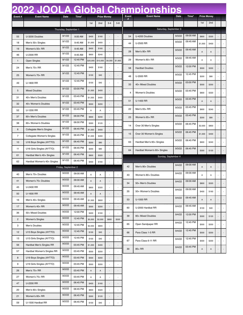## **2022 JOOLA Global Championships**

| Event#         | <b>Event Name</b>           | Date                  | Time*    |          | <b>Prize Money</b> |                          |                          | Event | <b>Event Name</b>           | Date   | Time*    | <b>Prize Money</b> |       |  |
|----------------|-----------------------------|-----------------------|----------|----------|--------------------|--------------------------|--------------------------|-------|-----------------------------|--------|----------|--------------------|-------|--|
|                |                             |                       |          | 1st      | 2nd                | $3 - 4$                  | $5 - 8$                  | #     |                             |        |          | 1st                | 2nd   |  |
|                |                             | Thursday, September 1 |          |          |                    |                          |                          |       | Saturday, September 3       |        |          |                    |       |  |
| 55             | U-3200 Doubles              | 9/1/22                | 9:00 AM  | \$400    | \$160              |                          |                          | 54    | U-4200 Doubles              | 9/3/22 | 09:00 AM | \$800              | \$320 |  |
| 18             | Men's 50+ Singles           | 9/1/22                | 9:45 AM  | \$1,000  | \$400              |                          |                          | 44    | U-2500 RR                   | 9/3/22 | 09:45 AM | \$1,000            | \$400 |  |
| 19             | Women's 50+ RR              | 9/1/22                | 9:45 AM  | \$400    | \$160              |                          |                          |       |                             | 9/3/22 | 09:45 AM |                    |       |  |
| 46             | U-2300 RR                   | 9/1/22                | 9:45 AM  | \$600    | \$240              |                          |                          | 28    | Men's 80+ RR                |        |          | $\mathsf A$        | A     |  |
| 1              | Open Singles                | 9/1/22                | 12:45 PM | \$25,000 | \$10,000           | \$4,000                  | \$1,600                  | 29    | Women's 80+ RR              | 9/3/22 | 09:45 AM | A                  | Α     |  |
| 24             | Men's 70+ RR                | 9/1/22                | 12:45 PM | \$400    | \$160              |                          |                          | 58    | <b>Hardbat Doubles</b>      | 9/3/22 | 12:00 PM | \$500              | \$200 |  |
| 25             | Women's 70+ RR              | 9/1/22                | 12:45 PM | \$100    | \$40               | $\overline{a}$           | $\overline{\phantom{a}}$ | 48    | U-2000 RR                   | 9/3/22 | 12:45 PM | \$200              | \$80  |  |
| 49             | U-1800 RR                   | 9/1/22                | 12:45 PM | \$100    | \$40               | ä,                       |                          | 33    | 40+ Mixed Doubles           | 9/3/22 | 03:00 PM | \$500              | \$200 |  |
| 5              | <b>Mixed Doubles</b>        | 9/1/22                | 03:00 PM | \$1,000  | \$400              |                          |                          | 4     | Women's Doubles             | 9/3/22 | 03:45 PM | \$800              | \$320 |  |
| 31             | 40+ Men's Doubles           | 9/1/22                | 03:45 PM | \$1,000  | \$400              |                          |                          |       |                             | 9/3/22 | 03:45 PM |                    |       |  |
| 32             | 40+ Women's Doubles         | 9/1/22                | 03:45 PM | \$500    | \$200              |                          |                          | 51    | U-1400 RR                   |        |          | $\mathsf A$        | Α     |  |
| 52             | U-1200 RR                   | 9/1/22                | 03:45 PM | Α        | Α                  |                          |                          | 22    | Men's 65+ RR                | 9/3/22 | 03:45 PM | \$600              | \$240 |  |
| 37             | 60+ Men's Doubles           | 9/1/22                | 06:00 PM | \$600    | \$240              |                          |                          | 23    | Women's 65+ RR              | 9/3/22 | 03:45 PM | \$200              | \$80  |  |
| 38             | 60+ Women's Doubles         | 9/1/22                | 06:00 PM | \$300    | \$120              |                          |                          | 14    | Over 30 Men's Singles       | 9/3/22 | 06:45 PM | \$2,000            | \$800 |  |
| 6              | Collegiate Men's Singles    | 9/1/22                | 06:45 PM | \$1,000  | \$400              |                          |                          |       |                             | 9/3/22 | 06:45 PM |                    |       |  |
| $\overline{7}$ | Collegiate Women's Singles  | 9/1/22                | 06:45 PM | \$1,000  | \$400              |                          |                          | 15    | Over 30 Women's Singles     |        |          | \$1,000            | \$400 |  |
| 10             | U16 Boys Singles (AYTTO)    | 9/1/22                | 06:45 PM | \$200    | \$80               | $\overline{a}$           |                          | 63    | Hardbat Men's 60+ Singles   | 9/3/22 | 06:45 PM | \$600              | \$240 |  |
| 11             | U16 Girls Singles (AYTTO)   | 9/1/22                | 06:45 PM | \$200    | \$80               |                          |                          | 64    | Hardbat Women's 60+ Singles | 9/3/22 | 06:45 PM | \$300              | \$120 |  |
| 61             | Hardbat Men's 40+ Singles   | 9/1/22                | 06:45 PM | \$800    | \$320              |                          |                          |       | Sunday, September 4         |        |          |                    |       |  |
| 62             | Hardbat Women's 40+ Singles | 9/1/22                | 06:45 PM | \$400    | \$160              |                          |                          |       |                             | 9/4/22 | 09:00 AM |                    |       |  |
|                |                             | Friday, September 2   |          |          |                    |                          |                          | 42    | Men's 80+ Doubles           |        |          | $\mathsf A$        | A     |  |
| 40             | Men's 70+ Doubles           | 9/2/22                | 09:00 AM | Α        | А                  |                          |                          | 43    | Women's 80+ Doubles         | 9/4/22 | 09:00 AM | Α                  | Α     |  |
| 41             | Women's 70+ Doubles         | 9/2/22                | 09:00 AM | A        | Α                  |                          |                          | 34    | 50+ Men's Doubles           | 9/4/22 | 09:00 AM | \$800              | \$320 |  |
| 45             | U-2400 RR                   | 9/2/22                | 09:45 AM | \$800    | \$320              |                          |                          |       |                             | 9/4/22 | 09:00 AM |                    |       |  |
| 50             | U-1600 RR                   | 9/2/22                | 09:45 AM | А        | Α                  |                          |                          | 35    | 50+ Women's Doubles         |        |          | \$400              | \$160 |  |
| 16             | Men's 40+ Singles           | 9/2/22                | 09:45 AM | \$1,500  | \$600              |                          | ÷,                       | 53    | U-1000 RR                   | 9/4/22 | 09:45 AM | A                  | A     |  |
| 17             | Women's 40+ RR              | 9/2/22                | 09:45 AM | \$500    | \$200              |                          | $\overline{\phantom{a}}$ | 60    | U-2000 Hardbat RR           | 9/4/22 | 09:45 AM | \$100              | \$40  |  |
| 36             | 50+ Mixed Doubles           | 9/2/22                | 12:00 PM | \$400    | \$160              |                          |                          | 39    | 60+ Mixed Doubles           | 9/4/22 | 12:00 PM | \$300              | \$120 |  |
| $\mathbf{2}$   | <b>Women's Singles</b>      | 9/2/22                | 12:45 PM | \$5,000  | \$2,000            | \$800                    | \$320                    |       |                             | 9/4/22 | 12:45 PM |                    |       |  |
| 3              | Men's Doubles               | 9/2/22                | 12:45 PM | \$2,000  | \$800              | $\overline{\phantom{a}}$ | $\overline{\phantom{a}}$ | 65    | Open Sandpaper RR           |        |          | \$500              | \$200 |  |
| 12             | U13 Boys Singles (AYTTO)    | 9/2/22                | 12:45 PM | \$100    | \$40               |                          | $\overline{\phantom{a}}$ | 66    | Para Class 1-5 RR           | 9/4/22 | 12:45 PM | \$500              | \$200 |  |
| 13             | U13 Girls Singles (AYTTO)   | 9/2/22                | 12:45 PM | \$100    | \$40               |                          |                          | 67    | Para Class 6-11 RR          | 9/4/22 | 12:45 PM | \$500              | \$200 |  |
| 56             | Hardbat Men's Singles RR    | 9/2/22                | 03:45 PM | \$1,000  | \$400              | $\overline{a}$           |                          |       |                             | 9/4/22 | 03:45 PM |                    |       |  |
| 57             | Hardbat Women's Singles RR  | 9/2/22                | 03:45 PM | \$500    | \$200              |                          |                          | 30    | 85+ RR                      |        |          | A                  | A     |  |
| 8              | U19 Boys Singles (AYTTO)    | 9/2/22                | 03:45 PM | \$500    | \$200              |                          |                          |       |                             |        |          |                    |       |  |
| 9              | U19 Girls Singles (AYTTO)   | 9/2/22                | 03:45 PM | \$500    | \$200              | $\overline{a}$           | $\overline{\phantom{a}}$ |       |                             |        |          |                    |       |  |
| 26             | Men's 75+ RR                | 9/2/22                | 03:45 PM | Α        | Α                  |                          |                          |       |                             |        |          |                    |       |  |
| 27             | Women's 75+ RR              | 9/2/22                | 03:45 PM | А        | А                  |                          |                          |       |                             |        |          |                    |       |  |
| 47             | U-2200 RR                   | 9/2/22                | 06:45 PM | \$400    | \$160              |                          |                          |       |                             |        |          |                    |       |  |

20 Men's 60+ Singles 9/2/22 06:45 PM \$800 \$320 - -21 Women's 60+ RR 9/2/22 06:45 PM  $\begin{array}{|c|c|c|c|c|c|c|c|}\n\hline\n\end{array}$  3120 - -59 U-1500 Hardbat RR 9/2/22 06:45 PM \$100 \$40 - -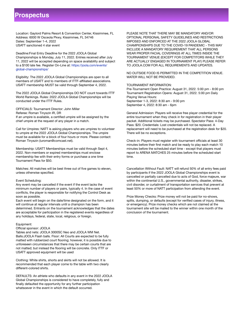### **Prospectus**

Location: Gaylord Palms Resort & Convention Center, Kissimmee, FL Address: 6000 W Osceola Pkwy, Kissimmee, FL 34746 Dates: September 1-4, 2022 USATT sanctioned 4 star event

Deadline:Final Entry Deadline for the 2022 JOOLA Global Championships is Monday, July 11, 2022. Entries received after July 11, 2022 will be accepted depending on space availability and subject to a \$100 late fee. Register On‐Line at: https://joola.com/events/ global-championships/

Eligibility: The 2022 JOOLA Global Championships are open to all members of USATT and to members of ITTF‐affiliated associations. USATT membership MUST be valid through September 4, 2022.

The 2022 JOOLA Global Championships DO NOT count towards ITTF World Rankings. Rules: 2022 JOOLA Global Championships will be conducted under the ITTF Rules.

OFFICIALS: Tournament Director: John Miller Referee: Roman Tinyszin IR, DR If an umpire is available, a certified umpire will be assigned by the chief umpire at the request of any player in a match.

Call for Umpires: NATT is asking players who are umpires to volunteer to umpire at the 2022 JOOLA Global Championships. The umpire must be available for a block of four hours or more. Please contact: Roman Tinyszin (iuroman@comcast.net).

Membership: USATT Memberships must be valid through Sept 4, 2022. Non‐members or expired memberships must enclose membership fee with their entry forms or purchase a one time Tournament Pass for \$50.

Matches: All matches will be best three out of five games to eleven, unless otherwise specified.

#### Event Scheduling:

Any event may be cancelled if the event if the event lacks the minimum number of players or pairs, typically 4. In the case of event conflicts, the player is responsible for notifying the Control Desk as soon as possible.

Each event will begin on the date/time designated on the form, and it will continue at regular intervals until a champion has been determined. Entrants on the tournament acknowledges that the dates are acceptable for participation in the registered events regardless of any holidays, federal, state, local, religious, or foreign.

#### Equipment:

#### Official sponsor: JOOLA

Tables and nets: JOOLA 3000SC Neo and JOOLA WM Net. Balls:JOOLA Flash balls. Floor: All Courts are expected to be fully matted with rubberized court flooring; however, it is possible due to unforeseen circumstances that there may be certain courts that are not matted; but instead the flooring will be concrete. Only ITTF or USATT approved equipment will be used

Clothing: White shirts, shorts and skirts will not be allowed. It is recommended that each player come to the table with two clearly different‐colored shirts.

DEFAULTS: An athlete who defaults in any event in the 2022 JOOLA Global Championships is considered to have completely, fully and finally defaulted the opportunity for any further participation whatsoever in the event in which the default occurred.

PLEASE NOTE THAT THERE MAY BE MANDATORY AND/OR OPTIONAL PERSONAL SAFETY GUIDELINES AND RESTRICTIONS IMPOSED AND ENFORCED AT THE 2022 JOOLA GLOBAL CHAMPIONSHIPS DUE TO THE COVID‐19 PANDEMIC ‐ THIS MAY INCLUDE A MANDATORY REQUIREMENT THAT ALL PERSONS WEAR PROPER FACIAL COVERINGS AT ALL TIMES INSIDE THE TOURNAMENT VENUE (EXCEPT FOR COMPETITORS WHILE THEY ARE ACTUALLY ENGAGED IN TOURNAMENT PLAY) PLEASE REFER TO JOOLA.COM FOR ALL REQUIREMENTS AND UPDATES.

NO OUTSIDE FOOD IS PERMITTED IN THE COMPETITION VENUE. WATER WILL NOT BE PROVIDED.

#### TOURNAMENT INFORMATION:

Pre‐Tournament Open Practice: August 31, 2022. 5:00 pm ‐ 8:00 pm Tournament Registration Opens: August 31, 2022. 5:00 pm Daily Playing Venue Hours: September 1-3, 2022: 8:30 am ‐ 9:00 pm

September 4, 2022: 8:30 am ‐ 6pm

General Admission: Players will receive free player credential for the entire tournament when they check in for registration in their player packet. Additional tickets may be purchased. Spectator Pass: 4‐Day Pass: \$20. Credentials: Lost credentials will not be replaced. A replacement will need to be purchased at the registration desk for \$20. There will be no exceptions.

Check‐in: Players must register with tournament officials at least 30 minutes before their first match and be ready to play each match 10 minutes before the scheduled start time ‐ except that players must report to ARENA MATCHES 25 minutes before the scheduled start time.

Cancellation Without Fault: NATT will refund 50% of all entry fees paid by participants if the 2022 JOOLA Global Championships event is cancelled or partially cancelled due to acts of God, force majeure, war within the continental U.S., governmental authority, disaster, strikes, civil disorder, or curtailment of transportation services that prevent at least 50% or more of NATT participation from attending the event.

Prize Money Checks: Prize money will not be paid for no‐shows, splits, dumping, or defaults (except for verified cases of injury, illness, or emergency). Prize money checks which are not claimed at the tournament site will be mailed to the winner within one month of the conclusion of the tournament.